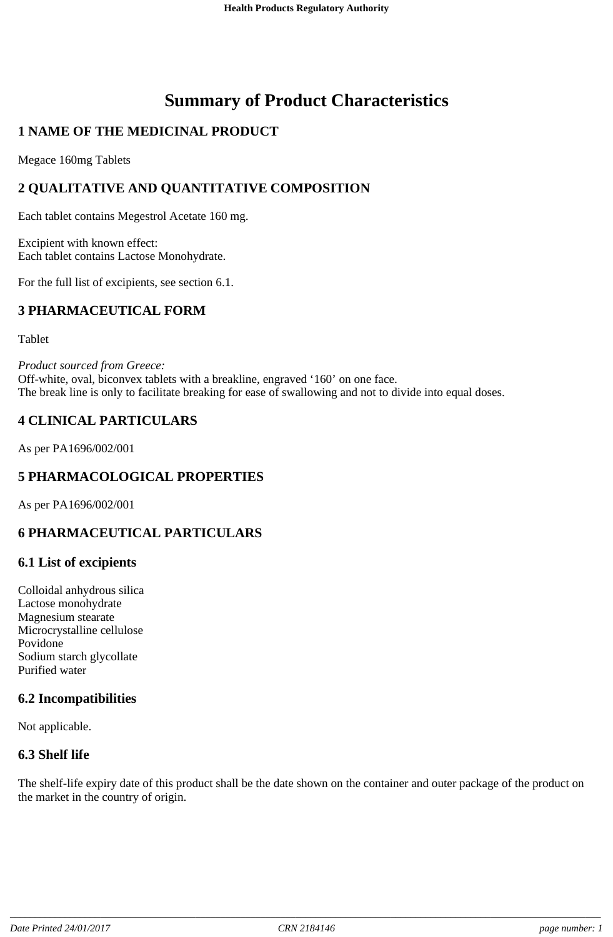# **Summary of Product Characteristics**

# **1 NAME OF THE MEDICINAL PRODUCT**

Megace 160mg Tablets

## **2 QUALITATIVE AND QUANTITATIVE COMPOSITION**

Each tablet contains Megestrol Acetate 160 mg.

Excipient with known effect: Each tablet contains Lactose Monohydrate.

For the full list of excipients, see section 6.1.

## **3 PHARMACEUTICAL FORM**

Tablet

*Product sourced from Greece:* Off-white, oval, biconvex tablets with a breakline, engraved '160' on one face. The break line is only to facilitate breaking for ease of swallowing and not to divide into equal doses.

## **4 CLINICAL PARTICULARS**

As per PA1696/002/001

## **5 PHARMACOLOGICAL PROPERTIES**

As per PA1696/002/001

## **6 PHARMACEUTICAL PARTICULARS**

#### **6.1 List of excipients**

Colloidal anhydrous silica Lactose monohydrate Magnesium stearate Microcrystalline cellulose Povidone Sodium starch glycollate Purified water

## **6.2 Incompatibilities**

Not applicable.

#### **6.3 Shelf life**

The shelf-life expiry date of this product shall be the date shown on the container and outer package of the product on the market in the country of origin.